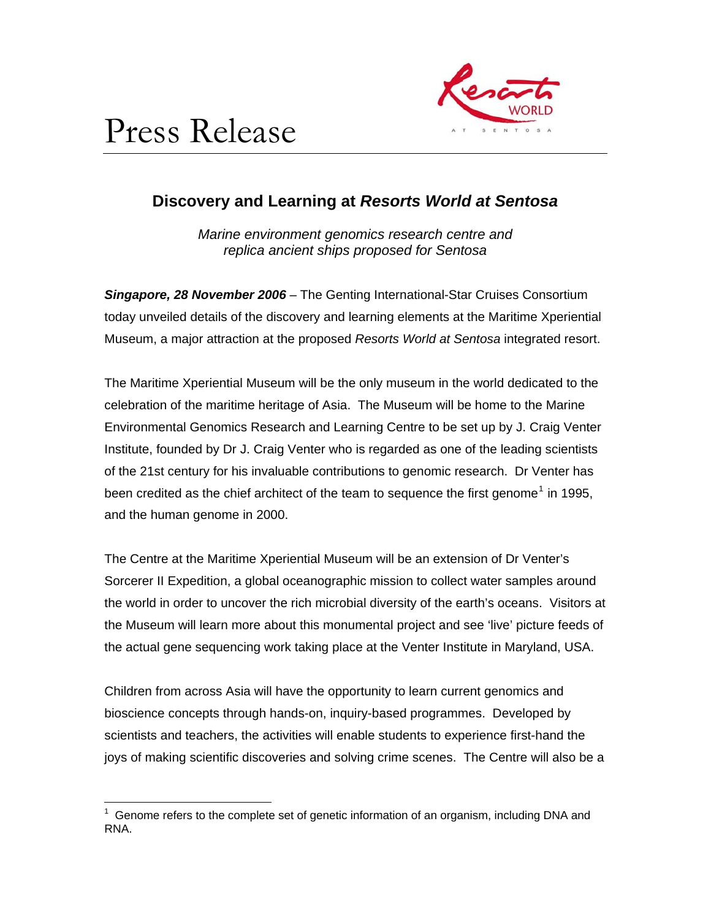

## Press Release

## **Discovery and Learning at** *Resorts World at Sentosa*

*Marine environment genomics research centre and replica ancient ships proposed for Sentosa* 

*Singapore, 28 November 2006* – The Genting International-Star Cruises Consortium today unveiled details of the discovery and learning elements at the Maritime Xperiential Museum, a major attraction at the proposed *Resorts World at Sentosa* integrated resort.

The Maritime Xperiential Museum will be the only museum in the world dedicated to the celebration of the maritime heritage of Asia. The Museum will be home to the Marine Environmental Genomics Research and Learning Centre to be set up by J. Craig Venter Institute, founded by Dr J. Craig Venter who is regarded as one of the leading scientists of the 21st century for his invaluable contributions to genomic research. Dr Venter has been credited as the chief architect of the team to sequence the first genome<sup>[1](#page-0-0)</sup> in 1995, and the human genome in 2000.

The Centre at the Maritime Xperiential Museum will be an extension of Dr Venter's Sorcerer II Expedition, a global oceanographic mission to collect water samples around the world in order to uncover the rich microbial diversity of the earth's oceans. Visitors at the Museum will learn more about this monumental project and see 'live' picture feeds of the actual gene sequencing work taking place at the Venter Institute in Maryland, USA.

Children from across Asia will have the opportunity to learn current genomics and bioscience concepts through hands-on, inquiry-based programmes. Developed by scientists and teachers, the activities will enable students to experience first-hand the joys of making scientific discoveries and solving crime scenes. The Centre will also be a

<span id="page-0-0"></span> $\overline{a}$ 1 Genome refers to the complete set of genetic information of an organism, including DNA and RNA.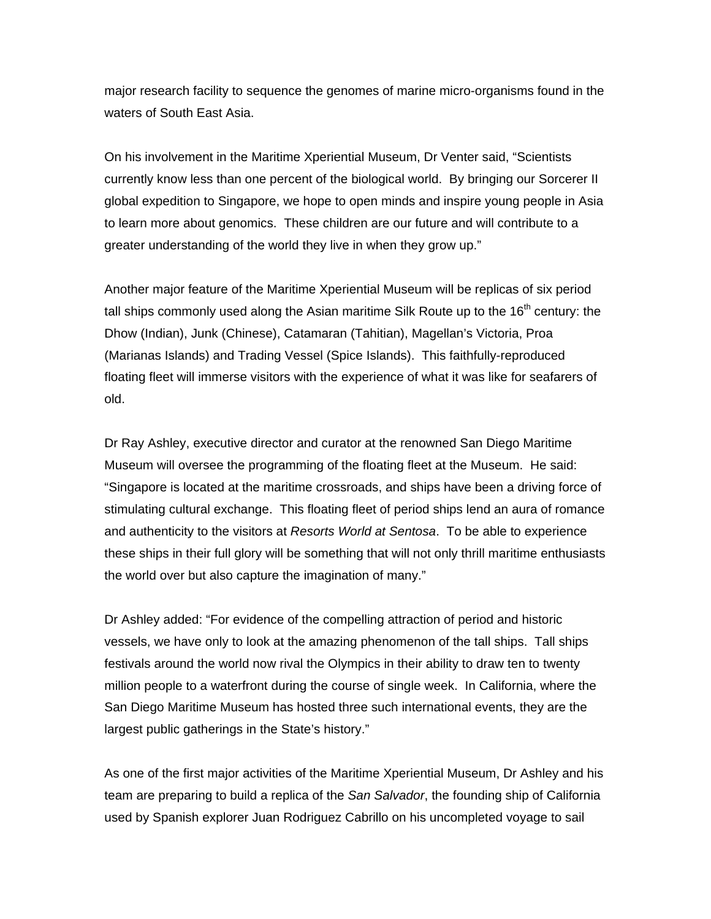major research facility to sequence the genomes of marine micro-organisms found in the waters of South East Asia.

On his involvement in the Maritime Xperiential Museum, Dr Venter said, "Scientists currently know less than one percent of the biological world. By bringing our Sorcerer II global expedition to Singapore, we hope to open minds and inspire young people in Asia to learn more about genomics. These children are our future and will contribute to a greater understanding of the world they live in when they grow up."

Another major feature of the Maritime Xperiential Museum will be replicas of six period tall ships commonly used along the Asian maritime Silk Route up to the  $16<sup>th</sup>$  century: the Dhow (Indian), Junk (Chinese), Catamaran (Tahitian), Magellan's Victoria, Proa (Marianas Islands) and Trading Vessel (Spice Islands). This faithfully-reproduced floating fleet will immerse visitors with the experience of what it was like for seafarers of old.

Dr Ray Ashley, executive director and curator at the renowned San Diego Maritime Museum will oversee the programming of the floating fleet at the Museum. He said: "Singapore is located at the maritime crossroads, and ships have been a driving force of stimulating cultural exchange. This floating fleet of period ships lend an aura of romance and authenticity to the visitors at *Resorts World at Sentosa*. To be able to experience these ships in their full glory will be something that will not only thrill maritime enthusiasts the world over but also capture the imagination of many."

Dr Ashley added: "For evidence of the compelling attraction of period and historic vessels, we have only to look at the amazing phenomenon of the tall ships. Tall ships festivals around the world now rival the Olympics in their ability to draw ten to twenty million people to a waterfront during the course of single week. In California, where the San Diego Maritime Museum has hosted three such international events, they are the largest public gatherings in the State's history."

As one of the first major activities of the Maritime Xperiential Museum, Dr Ashley and his team are preparing to build a replica of the *San Salvador*, the founding ship of California used by Spanish explorer Juan Rodriguez Cabrillo on his uncompleted voyage to sail